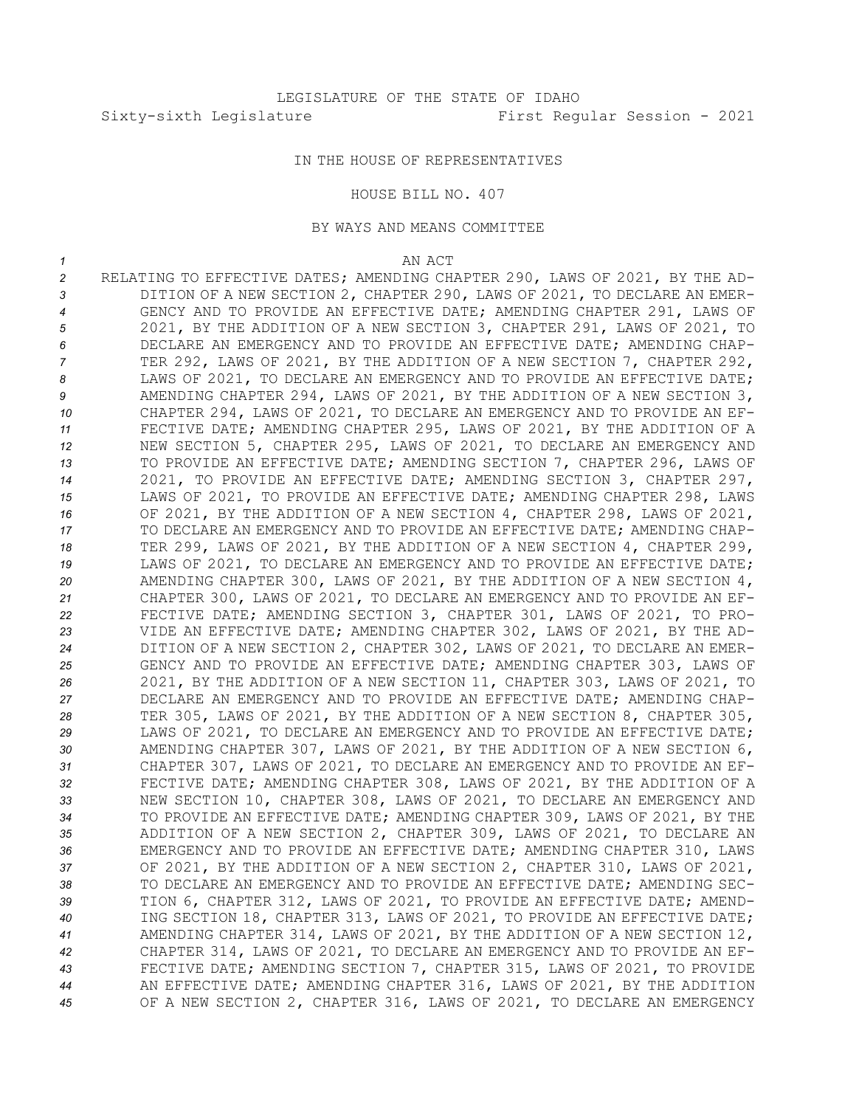## IN THE HOUSE OF REPRESENTATIVES

## HOUSE BILL NO. 407

## BY WAYS AND MEANS COMMITTEE

## *1* AN ACT

 RELATING TO EFFECTIVE DATES; AMENDING CHAPTER 290, LAWS OF 2021, BY THE AD- DITION OF A NEW SECTION 2, CHAPTER 290, LAWS OF 2021, TO DECLARE AN EMER- GENCY AND TO PROVIDE AN EFFECTIVE DATE; AMENDING CHAPTER 291, LAWS OF 2021, BY THE ADDITION OF A NEW SECTION 3, CHAPTER 291, LAWS OF 2021, TO DECLARE AN EMERGENCY AND TO PROVIDE AN EFFECTIVE DATE; AMENDING CHAP- TER 292, LAWS OF 2021, BY THE ADDITION OF A NEW SECTION 7, CHAPTER 292, 8 LAWS OF 2021, TO DECLARE AN EMERGENCY AND TO PROVIDE AN EFFECTIVE DATE; AMENDING CHAPTER 294, LAWS OF 2021, BY THE ADDITION OF A NEW SECTION 3, CHAPTER 294, LAWS OF 2021, TO DECLARE AN EMERGENCY AND TO PROVIDE AN EF- FECTIVE DATE; AMENDING CHAPTER 295, LAWS OF 2021, BY THE ADDITION OF A NEW SECTION 5, CHAPTER 295, LAWS OF 2021, TO DECLARE AN EMERGENCY AND TO PROVIDE AN EFFECTIVE DATE; AMENDING SECTION 7, CHAPTER 296, LAWS OF 2021, TO PROVIDE AN EFFECTIVE DATE; AMENDING SECTION 3, CHAPTER 297, LAWS OF 2021, TO PROVIDE AN EFFECTIVE DATE; AMENDING CHAPTER 298, LAWS OF 2021, BY THE ADDITION OF A NEW SECTION 4, CHAPTER 298, LAWS OF 2021, TO DECLARE AN EMERGENCY AND TO PROVIDE AN EFFECTIVE DATE; AMENDING CHAP- TER 299, LAWS OF 2021, BY THE ADDITION OF A NEW SECTION 4, CHAPTER 299, 19 LAWS OF 2021, TO DECLARE AN EMERGENCY AND TO PROVIDE AN EFFECTIVE DATE; AMENDING CHAPTER 300, LAWS OF 2021, BY THE ADDITION OF A NEW SECTION 4, CHAPTER 300, LAWS OF 2021, TO DECLARE AN EMERGENCY AND TO PROVIDE AN EF- FECTIVE DATE; AMENDING SECTION 3, CHAPTER 301, LAWS OF 2021, TO PRO- VIDE AN EFFECTIVE DATE; AMENDING CHAPTER 302, LAWS OF 2021, BY THE AD- DITION OF A NEW SECTION 2, CHAPTER 302, LAWS OF 2021, TO DECLARE AN EMER- GENCY AND TO PROVIDE AN EFFECTIVE DATE; AMENDING CHAPTER 303, LAWS OF 2021, BY THE ADDITION OF A NEW SECTION 11, CHAPTER 303, LAWS OF 2021, TO DECLARE AN EMERGENCY AND TO PROVIDE AN EFFECTIVE DATE; AMENDING CHAP- TER 305, LAWS OF 2021, BY THE ADDITION OF A NEW SECTION 8, CHAPTER 305, LAWS OF 2021, TO DECLARE AN EMERGENCY AND TO PROVIDE AN EFFECTIVE DATE; AMENDING CHAPTER 307, LAWS OF 2021, BY THE ADDITION OF A NEW SECTION 6, CHAPTER 307, LAWS OF 2021, TO DECLARE AN EMERGENCY AND TO PROVIDE AN EF- FECTIVE DATE; AMENDING CHAPTER 308, LAWS OF 2021, BY THE ADDITION OF A NEW SECTION 10, CHAPTER 308, LAWS OF 2021, TO DECLARE AN EMERGENCY AND TO PROVIDE AN EFFECTIVE DATE; AMENDING CHAPTER 309, LAWS OF 2021, BY THE ADDITION OF A NEW SECTION 2, CHAPTER 309, LAWS OF 2021, TO DECLARE AN EMERGENCY AND TO PROVIDE AN EFFECTIVE DATE; AMENDING CHAPTER 310, LAWS OF 2021, BY THE ADDITION OF A NEW SECTION 2, CHAPTER 310, LAWS OF 2021, TO DECLARE AN EMERGENCY AND TO PROVIDE AN EFFECTIVE DATE; AMENDING SEC- TION 6, CHAPTER 312, LAWS OF 2021, TO PROVIDE AN EFFECTIVE DATE; AMEND- ING SECTION 18, CHAPTER 313, LAWS OF 2021, TO PROVIDE AN EFFECTIVE DATE; AMENDING CHAPTER 314, LAWS OF 2021, BY THE ADDITION OF A NEW SECTION 12, CHAPTER 314, LAWS OF 2021, TO DECLARE AN EMERGENCY AND TO PROVIDE AN EF- FECTIVE DATE; AMENDING SECTION 7, CHAPTER 315, LAWS OF 2021, TO PROVIDE AN EFFECTIVE DATE; AMENDING CHAPTER 316, LAWS OF 2021, BY THE ADDITION OF A NEW SECTION 2, CHAPTER 316, LAWS OF 2021, TO DECLARE AN EMERGENCY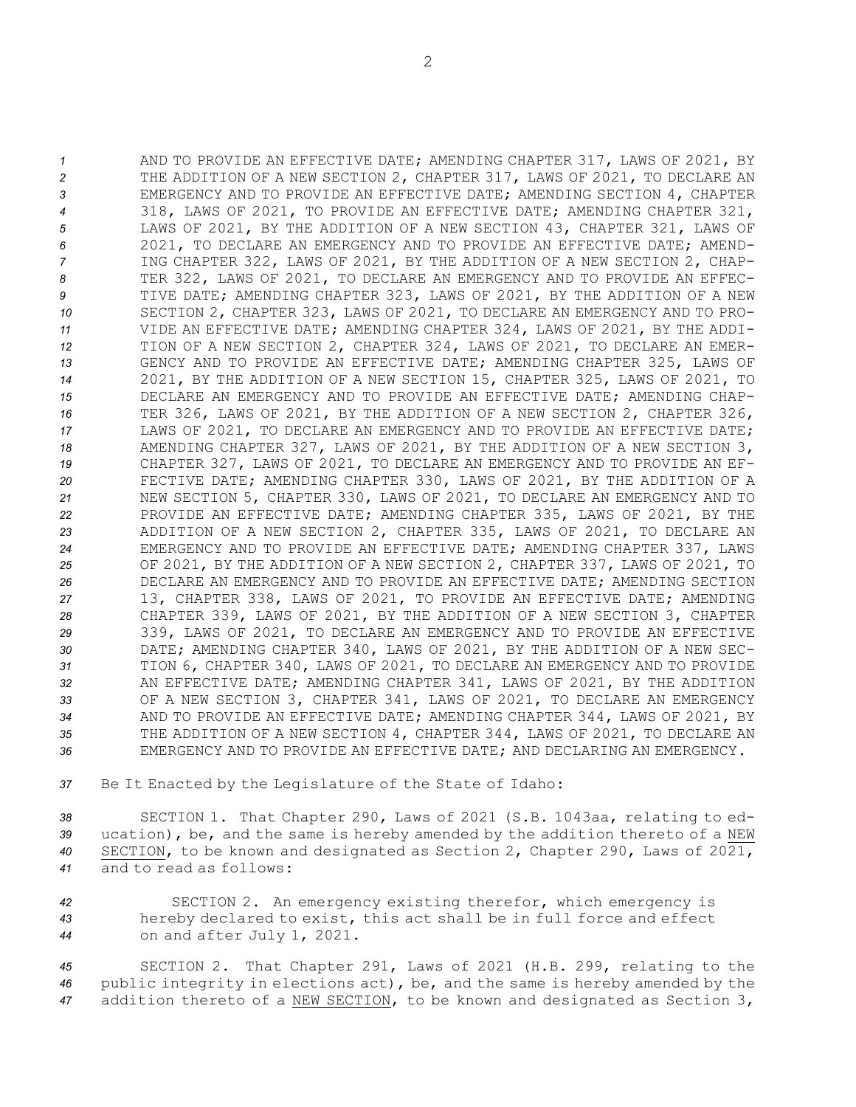AND TO PROVIDE AN EFFECTIVE DATE; AMENDING CHAPTER 317, LAWS OF 2021, BY THE ADDITION OF A NEW SECTION 2, CHAPTER 317, LAWS OF 2021, TO DECLARE AN EMERGENCY AND TO PROVIDE AN EFFECTIVE DATE; AMENDING SECTION 4, CHAPTER 318, LAWS OF 2021, TO PROVIDE AN EFFECTIVE DATE; AMENDING CHAPTER 321, LAWS OF 2021, BY THE ADDITION OF A NEW SECTION 43, CHAPTER 321, LAWS OF 2021, TO DECLARE AN EMERGENCY AND TO PROVIDE AN EFFECTIVE DATE; AMEND- ING CHAPTER 322, LAWS OF 2021, BY THE ADDITION OF A NEW SECTION 2, CHAP- TER 322, LAWS OF 2021, TO DECLARE AN EMERGENCY AND TO PROVIDE AN EFFEC- TIVE DATE; AMENDING CHAPTER 323, LAWS OF 2021, BY THE ADDITION OF A NEW SECTION 2, CHAPTER 323, LAWS OF 2021, TO DECLARE AN EMERGENCY AND TO PRO- VIDE AN EFFECTIVE DATE; AMENDING CHAPTER 324, LAWS OF 2021, BY THE ADDI- TION OF A NEW SECTION 2, CHAPTER 324, LAWS OF 2021, TO DECLARE AN EMER- GENCY AND TO PROVIDE AN EFFECTIVE DATE; AMENDING CHAPTER 325, LAWS OF 2021, BY THE ADDITION OF A NEW SECTION 15, CHAPTER 325, LAWS OF 2021, TO DECLARE AN EMERGENCY AND TO PROVIDE AN EFFECTIVE DATE; AMENDING CHAP- TER 326, LAWS OF 2021, BY THE ADDITION OF A NEW SECTION 2, CHAPTER 326, LAWS OF 2021, TO DECLARE AN EMERGENCY AND TO PROVIDE AN EFFECTIVE DATE; AMENDING CHAPTER 327, LAWS OF 2021, BY THE ADDITION OF A NEW SECTION 3, CHAPTER 327, LAWS OF 2021, TO DECLARE AN EMERGENCY AND TO PROVIDE AN EF- FECTIVE DATE; AMENDING CHAPTER 330, LAWS OF 2021, BY THE ADDITION OF A NEW SECTION 5, CHAPTER 330, LAWS OF 2021, TO DECLARE AN EMERGENCY AND TO PROVIDE AN EFFECTIVE DATE; AMENDING CHAPTER 335, LAWS OF 2021, BY THE ADDITION OF A NEW SECTION 2, CHAPTER 335, LAWS OF 2021, TO DECLARE AN EMERGENCY AND TO PROVIDE AN EFFECTIVE DATE; AMENDING CHAPTER 337, LAWS OF 2021, BY THE ADDITION OF A NEW SECTION 2, CHAPTER 337, LAWS OF 2021, TO DECLARE AN EMERGENCY AND TO PROVIDE AN EFFECTIVE DATE; AMENDING SECTION 13, CHAPTER 338, LAWS OF 2021, TO PROVIDE AN EFFECTIVE DATE; AMENDING CHAPTER 339, LAWS OF 2021, BY THE ADDITION OF A NEW SECTION 3, CHAPTER 339, LAWS OF 2021, TO DECLARE AN EMERGENCY AND TO PROVIDE AN EFFECTIVE DATE; AMENDING CHAPTER 340, LAWS OF 2021, BY THE ADDITION OF A NEW SEC- TION 6, CHAPTER 340, LAWS OF 2021, TO DECLARE AN EMERGENCY AND TO PROVIDE AN EFFECTIVE DATE; AMENDING CHAPTER 341, LAWS OF 2021, BY THE ADDITION OF A NEW SECTION 3, CHAPTER 341, LAWS OF 2021, TO DECLARE AN EMERGENCY AND TO PROVIDE AN EFFECTIVE DATE; AMENDING CHAPTER 344, LAWS OF 2021, BY THE ADDITION OF A NEW SECTION 4, CHAPTER 344, LAWS OF 2021, TO DECLARE AN EMERGENCY AND TO PROVIDE AN EFFECTIVE DATE; AND DECLARING AN EMERGENCY.

*<sup>37</sup>* Be It Enacted by the Legislature of the State of Idaho:

 SECTION 1. That Chapter 290, Laws of 2021 (S.B. 1043aa, relating to ed- ucation), be, and the same is hereby amended by the addition thereto of <sup>a</sup> NEW SECTION, to be known and designated as Section 2, Chapter 290, Laws of 2021, and to read as follows:

*<sup>42</sup>* SECTION 2. An emergency existing therefor, which emergency is *<sup>43</sup>* hereby declared to exist, this act shall be in full force and effect *<sup>44</sup>* on and after July 1, 2021.

*<sup>45</sup>* SECTION 2. That Chapter 291, Laws of 2021 (H.B. 299, relating to the *<sup>46</sup>* public integrity in elections act), be, and the same is hereby amended by the *<sup>47</sup>* addition thereto of <sup>a</sup> NEW SECTION, to be known and designated as Section 3,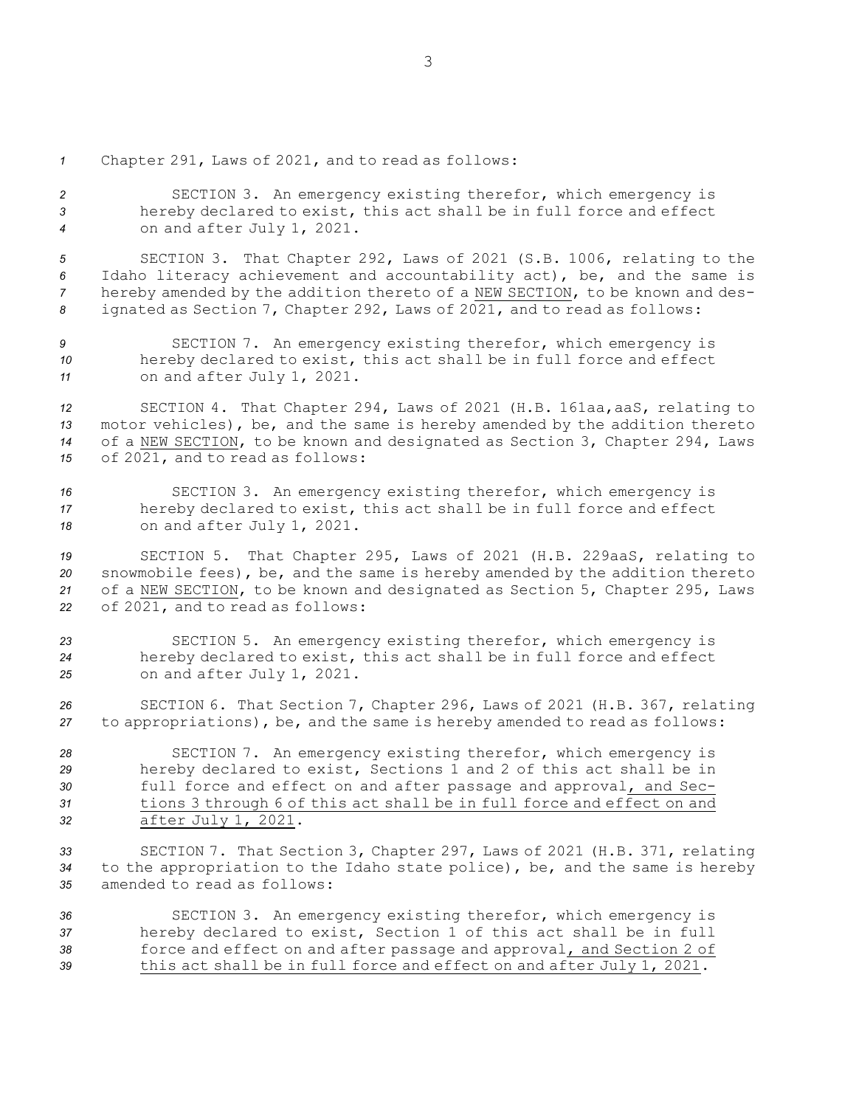*<sup>1</sup>* Chapter 291, Laws of 2021, and to read as follows:

*<sup>2</sup>* SECTION 3. An emergency existing therefor, which emergency is *<sup>3</sup>* hereby declared to exist, this act shall be in full force and effect *<sup>4</sup>* on and after July 1, 2021.

 SECTION 3. That Chapter 292, Laws of 2021 (S.B. 1006, relating to the Idaho literacy achievement and accountability act), be, and the same is hereby amended by the addition thereto of <sup>a</sup> NEW SECTION, to be known and des-ignated as Section 7, Chapter 292, Laws of 2021, and to read as follows:

*<sup>9</sup>* SECTION 7. An emergency existing therefor, which emergency is *<sup>10</sup>* hereby declared to exist, this act shall be in full force and effect *<sup>11</sup>* on and after July 1, 2021.

 SECTION 4. That Chapter 294, Laws of 2021 (H.B. 161aa,aaS, relating to motor vehicles), be, and the same is hereby amended by the addition thereto of <sup>a</sup> NEW SECTION, to be known and designated as Section 3, Chapter 294, Laws of 2021, and to read as follows:

*<sup>16</sup>* SECTION 3. An emergency existing therefor, which emergency is *<sup>17</sup>* hereby declared to exist, this act shall be in full force and effect *<sup>18</sup>* on and after July 1, 2021.

 SECTION 5. That Chapter 295, Laws of 2021 (H.B. 229aaS, relating to snowmobile fees), be, and the same is hereby amended by the addition thereto of <sup>a</sup> NEW SECTION, to be known and designated as Section 5, Chapter 295, Laws of 2021, and to read as follows:

*<sup>23</sup>* SECTION 5. An emergency existing therefor, which emergency is *<sup>24</sup>* hereby declared to exist, this act shall be in full force and effect *<sup>25</sup>* on and after July 1, 2021.

*<sup>26</sup>* SECTION 6. That Section 7, Chapter 296, Laws of 2021 (H.B. 367, relating *<sup>27</sup>* to appropriations), be, and the same is hereby amended to read as follows:

 SECTION 7. An emergency existing therefor, which emergency is hereby declared to exist, Sections 1 and 2 of this act shall be in full force and effect on and after passage and approval, and Sec- tions 3 through 6 of this act shall be in full force and effect on and after July 1, 2021.

*<sup>33</sup>* SECTION 7. That Section 3, Chapter 297, Laws of 2021 (H.B. 371, relating *<sup>34</sup>* to the appropriation to the Idaho state police), be, and the same is hereby *35* amended to read as follows:

 SECTION 3. An emergency existing therefor, which emergency is hereby declared to exist, Section 1 of this act shall be in full force and effect on and after passage and approval, and Section 2 of this act shall be in full force and effect on and after July 1, 2021.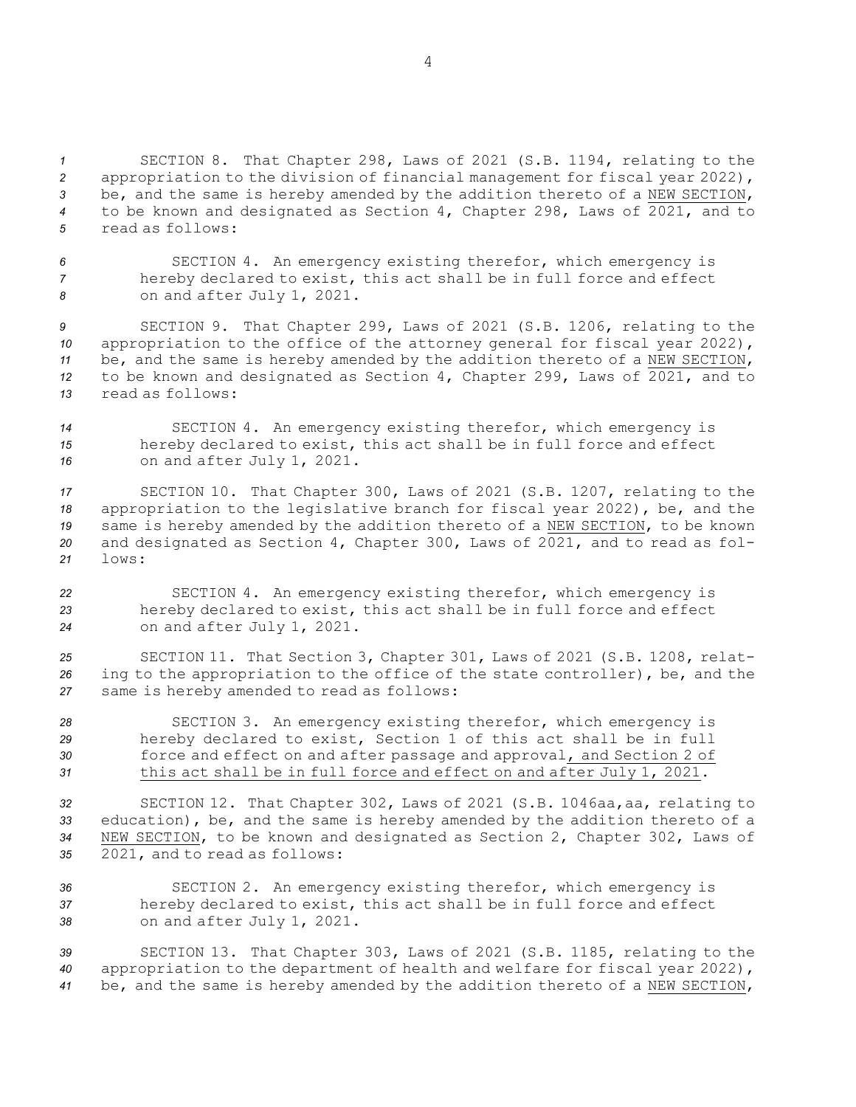SECTION 8. That Chapter 298, Laws of 2021 (S.B. 1194, relating to the appropriation to the division of financial management for fiscal year 2022), be, and the same is hereby amended by the addition thereto of <sup>a</sup> NEW SECTION, to be known and designated as Section 4, Chapter 298, Laws of 2021, and to read as follows:

*<sup>6</sup>* SECTION 4. An emergency existing therefor, which emergency is *<sup>7</sup>* hereby declared to exist, this act shall be in full force and effect *<sup>8</sup>* on and after July 1, 2021.

 SECTION 9. That Chapter 299, Laws of 2021 (S.B. 1206, relating to the appropriation to the office of the attorney general for fiscal year 2022), be, and the same is hereby amended by the addition thereto of <sup>a</sup> NEW SECTION, to be known and designated as Section 4, Chapter 299, Laws of 2021, and to read as follows:

*<sup>14</sup>* SECTION 4. An emergency existing therefor, which emergency is *<sup>15</sup>* hereby declared to exist, this act shall be in full force and effect *<sup>16</sup>* on and after July 1, 2021.

 SECTION 10. That Chapter 300, Laws of 2021 (S.B. 1207, relating to the appropriation to the legislative branch for fiscal year 2022), be, and the same is hereby amended by the addition thereto of <sup>a</sup> NEW SECTION, to be known and designated as Section 4, Chapter 300, Laws of 2021, and to read as fol-*21* lows:

*<sup>22</sup>* SECTION 4. An emergency existing therefor, which emergency is *<sup>23</sup>* hereby declared to exist, this act shall be in full force and effect *<sup>24</sup>* on and after July 1, 2021.

*<sup>25</sup>* SECTION 11. That Section 3, Chapter 301, Laws of 2021 (S.B. 1208, relat-*<sup>26</sup>* ing to the appropriation to the office of the state controller), be, and the *<sup>27</sup>* same is hereby amended to read as follows:

 SECTION 3. An emergency existing therefor, which emergency is hereby declared to exist, Section 1 of this act shall be in full force and effect on and after passage and approval, and Section 2 of this act shall be in full force and effect on and after July 1, 2021.

 SECTION 12. That Chapter 302, Laws of 2021 (S.B. 1046aa,aa, relating to education), be, and the same is hereby amended by the addition thereto of <sup>a</sup> NEW SECTION, to be known and designated as Section 2, Chapter 302, Laws of 2021, and to read as follows:

*<sup>36</sup>* SECTION 2. An emergency existing therefor, which emergency is *<sup>37</sup>* hereby declared to exist, this act shall be in full force and effect *<sup>38</sup>* on and after July 1, 2021.

*<sup>39</sup>* SECTION 13. That Chapter 303, Laws of 2021 (S.B. 1185, relating to the *<sup>40</sup>* appropriation to the department of health and welfare for fiscal year 2022), *<sup>41</sup>* be, and the same is hereby amended by the addition thereto of <sup>a</sup> NEW SECTION,

4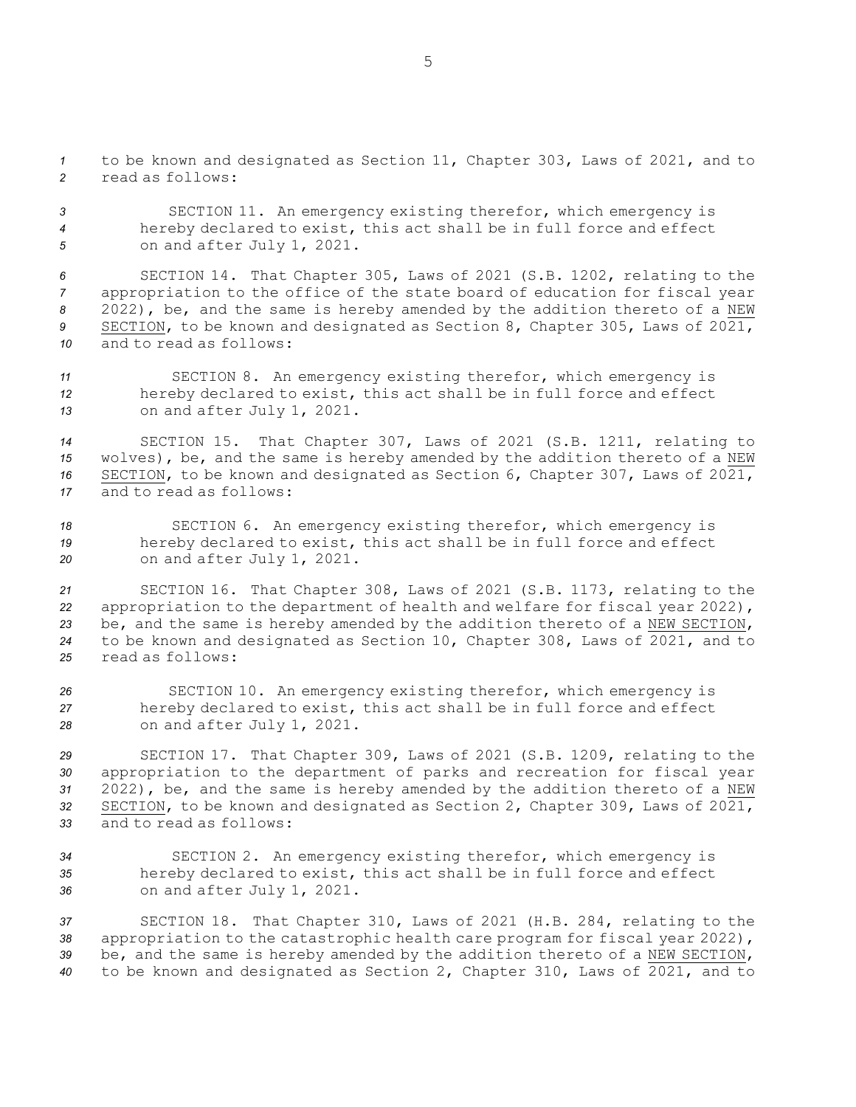*<sup>1</sup>* to be known and designated as Section 11, Chapter 303, Laws of 2021, and to *2* read as follows:

*<sup>3</sup>* SECTION 11. An emergency existing therefor, which emergency is *<sup>4</sup>* hereby declared to exist, this act shall be in full force and effect *<sup>5</sup>* on and after July 1, 2021.

 SECTION 14. That Chapter 305, Laws of 2021 (S.B. 1202, relating to the appropriation to the office of the state board of education for fiscal year 2022), be, and the same is hereby amended by the addition thereto of <sup>a</sup> NEW SECTION, to be known and designated as Section 8, Chapter 305, Laws of 2021, and to read as follows:

*<sup>11</sup>* SECTION 8. An emergency existing therefor, which emergency is *<sup>12</sup>* hereby declared to exist, this act shall be in full force and effect *<sup>13</sup>* on and after July 1, 2021.

 SECTION 15. That Chapter 307, Laws of 2021 (S.B. 1211, relating to wolves), be, and the same is hereby amended by the addition thereto of <sup>a</sup> NEW SECTION, to be known and designated as Section 6, Chapter 307, Laws of 2021, and to read as follows:

*<sup>18</sup>* SECTION 6. An emergency existing therefor, which emergency is *<sup>19</sup>* hereby declared to exist, this act shall be in full force and effect *<sup>20</sup>* on and after July 1, 2021.

 SECTION 16. That Chapter 308, Laws of 2021 (S.B. 1173, relating to the appropriation to the department of health and welfare for fiscal year 2022), be, and the same is hereby amended by the addition thereto of <sup>a</sup> NEW SECTION, to be known and designated as Section 10, Chapter 308, Laws of 2021, and to read as follows:

*<sup>26</sup>* SECTION 10. An emergency existing therefor, which emergency is *<sup>27</sup>* hereby declared to exist, this act shall be in full force and effect *<sup>28</sup>* on and after July 1, 2021.

 SECTION 17. That Chapter 309, Laws of 2021 (S.B. 1209, relating to the appropriation to the department of parks and recreation for fiscal year 2022), be, and the same is hereby amended by the addition thereto of <sup>a</sup> NEW SECTION, to be known and designated as Section 2, Chapter 309, Laws of 2021, and to read as follows:

*<sup>34</sup>* SECTION 2. An emergency existing therefor, which emergency is *<sup>35</sup>* hereby declared to exist, this act shall be in full force and effect *<sup>36</sup>* on and after July 1, 2021.

 SECTION 18. That Chapter 310, Laws of 2021 (H.B. 284, relating to the appropriation to the catastrophic health care program for fiscal year 2022), be, and the same is hereby amended by the addition thereto of <sup>a</sup> NEW SECTION, to be known and designated as Section 2, Chapter 310, Laws of 2021, and to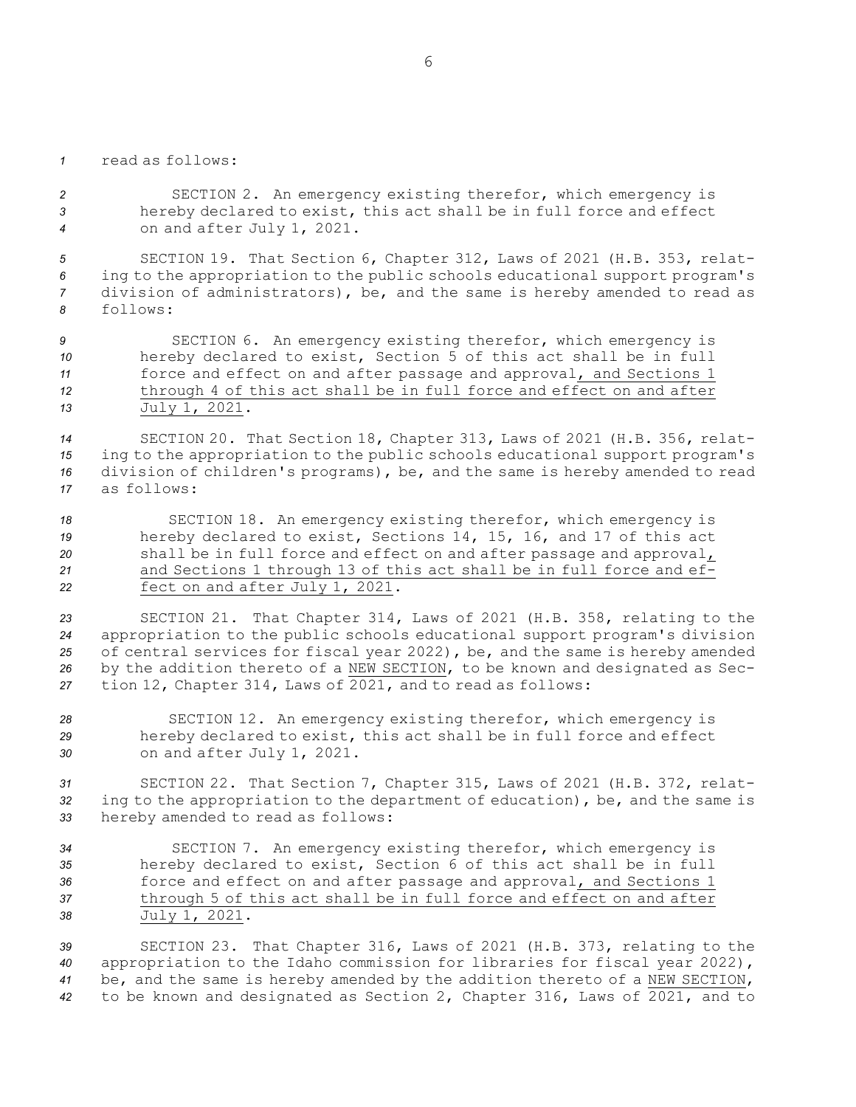*1* read as follows:

*<sup>2</sup>* SECTION 2. An emergency existing therefor, which emergency is *<sup>3</sup>* hereby declared to exist, this act shall be in full force and effect *<sup>4</sup>* on and after July 1, 2021.

 SECTION 19. That Section 6, Chapter 312, Laws of 2021 (H.B. 353, relat- ing to the appropriation to the public schools educational support program's division of administrators), be, and the same is hereby amended to read as *8* follows:

 SECTION 6. An emergency existing therefor, which emergency is hereby declared to exist, Section 5 of this act shall be in full force and effect on and after passage and approval, and Sections 1 through 4 of this act shall be in full force and effect on and after July 1, 2021.

 SECTION 20. That Section 18, Chapter 313, Laws of 2021 (H.B. 356, relat- ing to the appropriation to the public schools educational support program's division of children's programs), be, and the same is hereby amended to read as follows:

 SECTION 18. An emergency existing therefor, which emergency is hereby declared to exist, Sections 14, 15, 16, and 17 of this act shall be in full force and effect on and after passage and approval, and Sections 1 through 13 of this act shall be in full force and ef-fect on and after July 1, 2021.

 SECTION 21. That Chapter 314, Laws of 2021 (H.B. 358, relating to the appropriation to the public schools educational support program's division of central services for fiscal year 2022), be, and the same is hereby amended by the addition thereto of <sup>a</sup> NEW SECTION, to be known and designated as Sec-tion 12, Chapter 314, Laws of 2021, and to read as follows:

*<sup>28</sup>* SECTION 12. An emergency existing therefor, which emergency is *<sup>29</sup>* hereby declared to exist, this act shall be in full force and effect *<sup>30</sup>* on and after July 1, 2021.

*<sup>31</sup>* SECTION 22. That Section 7, Chapter 315, Laws of 2021 (H.B. 372, relat-*<sup>32</sup>* ing to the appropriation to the department of education), be, and the same is *<sup>33</sup>* hereby amended to read as follows:

 SECTION 7. An emergency existing therefor, which emergency is hereby declared to exist, Section 6 of this act shall be in full force and effect on and after passage and approval, and Sections 1 through 5 of this act shall be in full force and effect on and after July 1, 2021.

 SECTION 23. That Chapter 316, Laws of 2021 (H.B. 373, relating to the appropriation to the Idaho commission for libraries for fiscal year 2022), be, and the same is hereby amended by the addition thereto of <sup>a</sup> NEW SECTION, to be known and designated as Section 2, Chapter 316, Laws of 2021, and to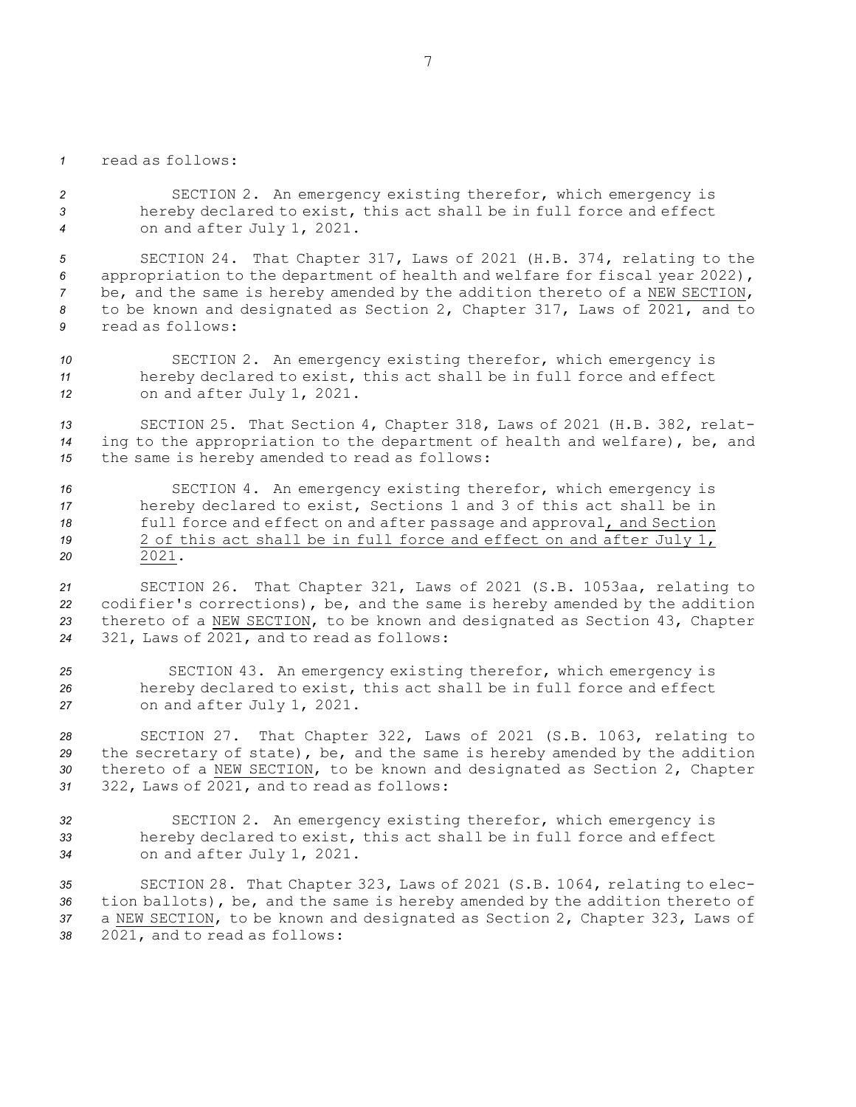*1* read as follows:

*<sup>2</sup>* SECTION 2. An emergency existing therefor, which emergency is *<sup>3</sup>* hereby declared to exist, this act shall be in full force and effect *<sup>4</sup>* on and after July 1, 2021.

 SECTION 24. That Chapter 317, Laws of 2021 (H.B. 374, relating to the appropriation to the department of health and welfare for fiscal year 2022), be, and the same is hereby amended by the addition thereto of <sup>a</sup> NEW SECTION, to be known and designated as Section 2, Chapter 317, Laws of 2021, and to read as follows:

*<sup>10</sup>* SECTION 2. An emergency existing therefor, which emergency is *<sup>11</sup>* hereby declared to exist, this act shall be in full force and effect *<sup>12</sup>* on and after July 1, 2021.

*<sup>13</sup>* SECTION 25. That Section 4, Chapter 318, Laws of 2021 (H.B. 382, relat-*<sup>14</sup>* ing to the appropriation to the department of health and welfare), be, and *<sup>15</sup>* the same is hereby amended to read as follows:

 SECTION 4. An emergency existing therefor, which emergency is hereby declared to exist, Sections 1 and 3 of this act shall be in full force and effect on and after passage and approval, and Section 2 of this act shall be in full force and effect on and after July 1, *20* 2021.

 SECTION 26. That Chapter 321, Laws of 2021 (S.B. 1053aa, relating to codifier's corrections), be, and the same is hereby amended by the addition thereto of <sup>a</sup> NEW SECTION, to be known and designated as Section 43, Chapter 321, Laws of 2021, and to read as follows:

*<sup>25</sup>* SECTION 43. An emergency existing therefor, which emergency is *<sup>26</sup>* hereby declared to exist, this act shall be in full force and effect *<sup>27</sup>* on and after July 1, 2021.

 SECTION 27. That Chapter 322, Laws of 2021 (S.B. 1063, relating to the secretary of state), be, and the same is hereby amended by the addition thereto of <sup>a</sup> NEW SECTION, to be known and designated as Section 2, Chapter 322, Laws of 2021, and to read as follows:

*<sup>32</sup>* SECTION 2. An emergency existing therefor, which emergency is *<sup>33</sup>* hereby declared to exist, this act shall be in full force and effect *<sup>34</sup>* on and after July 1, 2021.

 SECTION 28. That Chapter 323, Laws of 2021 (S.B. 1064, relating to elec- tion ballots), be, and the same is hereby amended by the addition thereto of <sup>a</sup> NEW SECTION, to be known and designated as Section 2, Chapter 323, Laws of 2021, and to read as follows: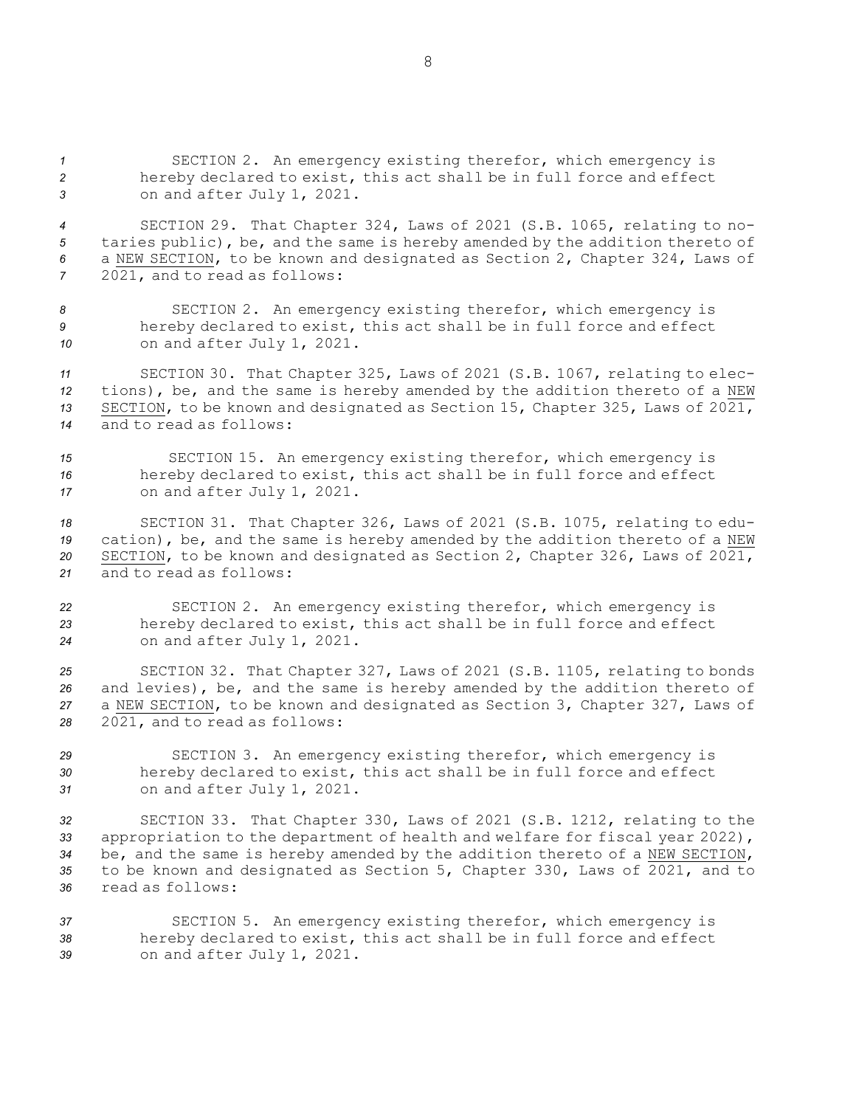*<sup>1</sup>* SECTION 2. An emergency existing therefor, which emergency is *<sup>2</sup>* hereby declared to exist, this act shall be in full force and effect *<sup>3</sup>* on and after July 1, 2021.

 SECTION 29. That Chapter 324, Laws of 2021 (S.B. 1065, relating to no- taries public), be, and the same is hereby amended by the addition thereto of <sup>a</sup> NEW SECTION, to be known and designated as Section 2, Chapter 324, Laws of 2021, and to read as follows:

*<sup>8</sup>* SECTION 2. An emergency existing therefor, which emergency is *<sup>9</sup>* hereby declared to exist, this act shall be in full force and effect *<sup>10</sup>* on and after July 1, 2021.

 SECTION 30. That Chapter 325, Laws of 2021 (S.B. 1067, relating to elec- tions), be, and the same is hereby amended by the addition thereto of <sup>a</sup> NEW SECTION, to be known and designated as Section 15, Chapter 325, Laws of 2021, and to read as follows:

*<sup>15</sup>* SECTION 15. An emergency existing therefor, which emergency is *<sup>16</sup>* hereby declared to exist, this act shall be in full force and effect *<sup>17</sup>* on and after July 1, 2021.

 SECTION 31. That Chapter 326, Laws of 2021 (S.B. 1075, relating to edu- cation), be, and the same is hereby amended by the addition thereto of <sup>a</sup> NEW SECTION, to be known and designated as Section 2, Chapter 326, Laws of 2021, and to read as follows:

*<sup>22</sup>* SECTION 2. An emergency existing therefor, which emergency is *<sup>23</sup>* hereby declared to exist, this act shall be in full force and effect *<sup>24</sup>* on and after July 1, 2021.

 SECTION 32. That Chapter 327, Laws of 2021 (S.B. 1105, relating to bonds and levies), be, and the same is hereby amended by the addition thereto of <sup>a</sup> NEW SECTION, to be known and designated as Section 3, Chapter 327, Laws of 2021, and to read as follows:

*<sup>29</sup>* SECTION 3. An emergency existing therefor, which emergency is *<sup>30</sup>* hereby declared to exist, this act shall be in full force and effect *<sup>31</sup>* on and after July 1, 2021.

 SECTION 33. That Chapter 330, Laws of 2021 (S.B. 1212, relating to the appropriation to the department of health and welfare for fiscal year 2022), be, and the same is hereby amended by the addition thereto of <sup>a</sup> NEW SECTION, to be known and designated as Section 5, Chapter 330, Laws of 2021, and to read as follows:

*<sup>37</sup>* SECTION 5. An emergency existing therefor, which emergency is *<sup>38</sup>* hereby declared to exist, this act shall be in full force and effect *<sup>39</sup>* on and after July 1, 2021.

8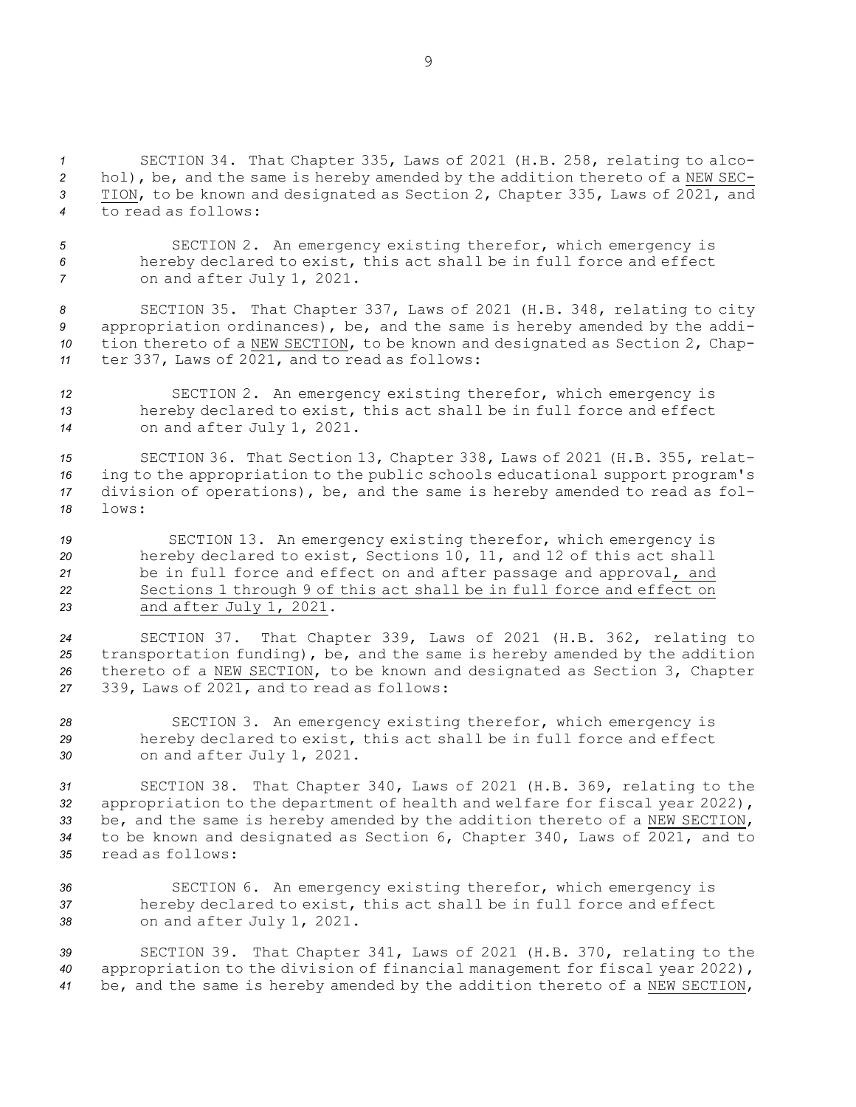SECTION 34. That Chapter 335, Laws of 2021 (H.B. 258, relating to alco- hol), be, and the same is hereby amended by the addition thereto of <sup>a</sup> NEW SEC- TION, to be known and designated as Section 2, Chapter 335, Laws of 2021, and to read as follows:

*<sup>5</sup>* SECTION 2. An emergency existing therefor, which emergency is *<sup>6</sup>* hereby declared to exist, this act shall be in full force and effect *<sup>7</sup>* on and after July 1, 2021.

 SECTION 35. That Chapter 337, Laws of 2021 (H.B. 348, relating to city appropriation ordinances), be, and the same is hereby amended by the addi- tion thereto of <sup>a</sup> NEW SECTION, to be known and designated as Section 2, Chap-ter 337, Laws of 2021, and to read as follows:

*<sup>12</sup>* SECTION 2. An emergency existing therefor, which emergency is *<sup>13</sup>* hereby declared to exist, this act shall be in full force and effect *<sup>14</sup>* on and after July 1, 2021.

 SECTION 36. That Section 13, Chapter 338, Laws of 2021 (H.B. 355, relat- ing to the appropriation to the public schools educational support program's division of operations), be, and the same is hereby amended to read as fol-*18* lows:

 SECTION 13. An emergency existing therefor, which emergency is hereby declared to exist, Sections 10, 11, and 12 of this act shall be in full force and effect on and after passage and approval, and Sections 1 through 9 of this act shall be in full force and effect on and after July 1, 2021.

 SECTION 37. That Chapter 339, Laws of 2021 (H.B. 362, relating to transportation funding), be, and the same is hereby amended by the addition thereto of <sup>a</sup> NEW SECTION, to be known and designated as Section 3, Chapter 339, Laws of 2021, and to read as follows:

*<sup>28</sup>* SECTION 3. An emergency existing therefor, which emergency is *<sup>29</sup>* hereby declared to exist, this act shall be in full force and effect *<sup>30</sup>* on and after July 1, 2021.

 SECTION 38. That Chapter 340, Laws of 2021 (H.B. 369, relating to the appropriation to the department of health and welfare for fiscal year 2022), be, and the same is hereby amended by the addition thereto of <sup>a</sup> NEW SECTION, to be known and designated as Section 6, Chapter 340, Laws of 2021, and to read as follows:

*<sup>36</sup>* SECTION 6. An emergency existing therefor, which emergency is *<sup>37</sup>* hereby declared to exist, this act shall be in full force and effect *<sup>38</sup>* on and after July 1, 2021.

*<sup>39</sup>* SECTION 39. That Chapter 341, Laws of 2021 (H.B. 370, relating to the *<sup>40</sup>* appropriation to the division of financial management for fiscal year 2022), *<sup>41</sup>* be, and the same is hereby amended by the addition thereto of <sup>a</sup> NEW SECTION,